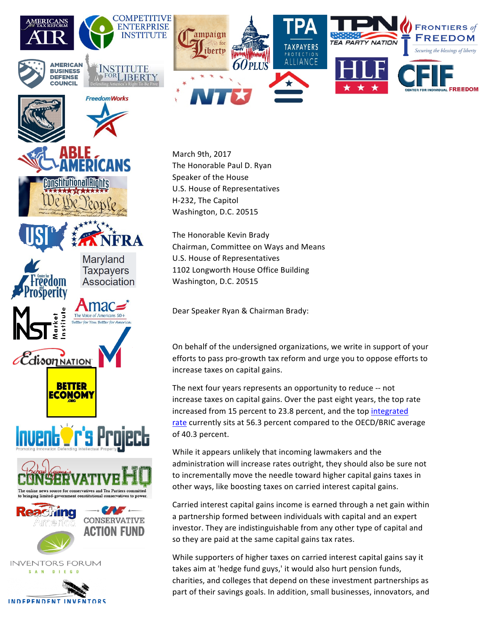

March 9th, 2017 The Honorable Paul D. Ryan Speaker of the House U.S. House of Representatives H-232, The Capitol Washington, D.C. 20515

mnsfiltufional

reedom

osperity

*Edison NATION* 

nstitut

**BETTER** <u>ECONOM)</u>

Invent **Oris Project** 

The online news source for conservatives and Tea Partiers comn to bringing limited-government constitutional conservatives to power

*<u>ehing</u>* 

America

**INVENTORS FORUM** SAN DIEGO

**INDEPENDENT INVENTORS** 

**CALC** \*

**CONSERVATIVE** 

**ACTION FUND** 

Maryland **Taxpayers** 

The Voice of Americans 50+

Association

The Honorable Kevin Brady Chairman, Committee on Ways and Means U.S. House of Representatives 1102 Longworth House Office Building Washington, D.C. 20515

Dear Speaker Ryan & Chairman Brady:

On behalf of the undersigned organizations, we write in support of your efforts to pass pro-growth tax reform and urge you to oppose efforts to increase taxes on capital gains.

The next four years represents an opportunity to reduce -- not increase taxes on capital gains. Over the past eight years, the top rate increased from 15 percent to 23.8 percent, and the top integrated rate currently sits at 56.3 percent compared to the OECD/BRIC average of 40.3 percent.

While it appears unlikely that incoming lawmakers and the administration will increase rates outright, they should also be sure not to incrementally move the needle toward higher capital gains taxes in other ways, like boosting taxes on carried interest capital gains.

Carried interest capital gains income is earned through a net gain within a partnership formed between individuals with capital and an expert investor. They are indistinguishable from any other type of capital and so they are paid at the same capital gains tax rates.

While supporters of higher taxes on carried interest capital gains say it takes aim at 'hedge fund guys,' it would also hurt pension funds, charities, and colleges that depend on these investment partnerships as part of their savings goals. In addition, small businesses, innovators, and